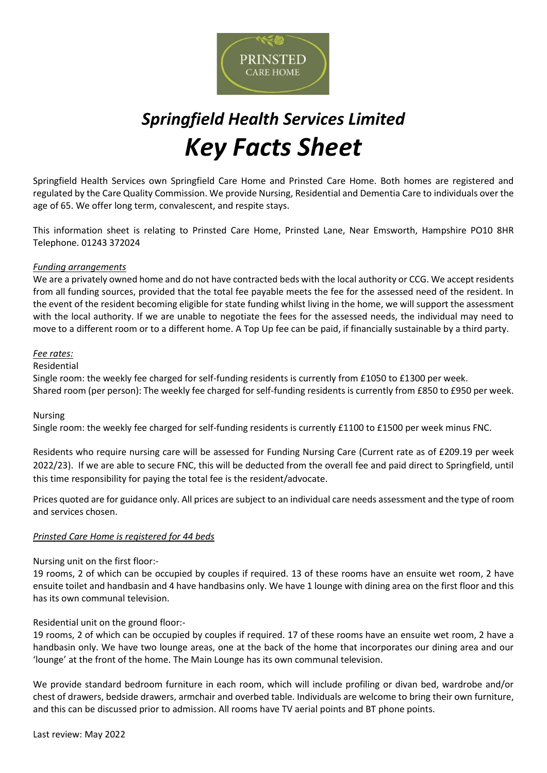

# *Springfield Health Services Limited Key Facts Sheet*

Springfield Health Services own Springfield Care Home and Prinsted Care Home. Both homes are registered and regulated by the Care Quality Commission. We provide Nursing, Residential and Dementia Care to individuals over the age of 65. We offer long term, convalescent, and respite stays.

This information sheet is relating to Prinsted Care Home, Prinsted Lane, Near Emsworth, Hampshire PO10 8HR Telephone. 01243 372024

## *Funding arrangements*

We are a privately owned home and do not have contracted beds with the local authority or CCG. We accept residents from all funding sources, provided that the total fee payable meets the fee for the assessed need of the resident. In the event of the resident becoming eligible for state funding whilst living in the home, we will support the assessment with the local authority. If we are unable to negotiate the fees for the assessed needs, the individual may need to move to a different room or to a different home. A Top Up fee can be paid, if financially sustainable by a third party.

## *Fee rates:*

## Residential

Single room: the weekly fee charged for self-funding residents is currently from £1050 to £1300 per week. Shared room (per person): The weekly fee charged for self-funding residents is currently from £850 to £950 per week.

## Nursing

Single room: the weekly fee charged for self-funding residents is currently £1100 to £1500 per week minus FNC.

Residents who require nursing care will be assessed for Funding Nursing Care (Current rate as of £209.19 per week 2022/23). If we are able to secure FNC, this will be deducted from the overall fee and paid direct to Springfield, until this time responsibility for paying the total fee is the resident/advocate.

Prices quoted are for guidance only. All prices are subject to an individual care needs assessment and the type of room and services chosen.

# *Prinsted Care Home is registered for 44 beds*

Nursing unit on the first floor:-

19 rooms, 2 of which can be occupied by couples if required. 13 of these rooms have an ensuite wet room, 2 have ensuite toilet and handbasin and 4 have handbasins only. We have 1 lounge with dining area on the first floor and this has its own communal television.

## Residential unit on the ground floor:-

19 rooms, 2 of which can be occupied by couples if required. 17 of these rooms have an ensuite wet room, 2 have a handbasin only. We have two lounge areas, one at the back of the home that incorporates our dining area and our 'lounge' at the front of the home. The Main Lounge has its own communal television.

We provide standard bedroom furniture in each room, which will include profiling or divan bed, wardrobe and/or chest of drawers, bedside drawers, armchair and overbed table. Individuals are welcome to bring their own furniture, and this can be discussed prior to admission. All rooms have TV aerial points and BT phone points.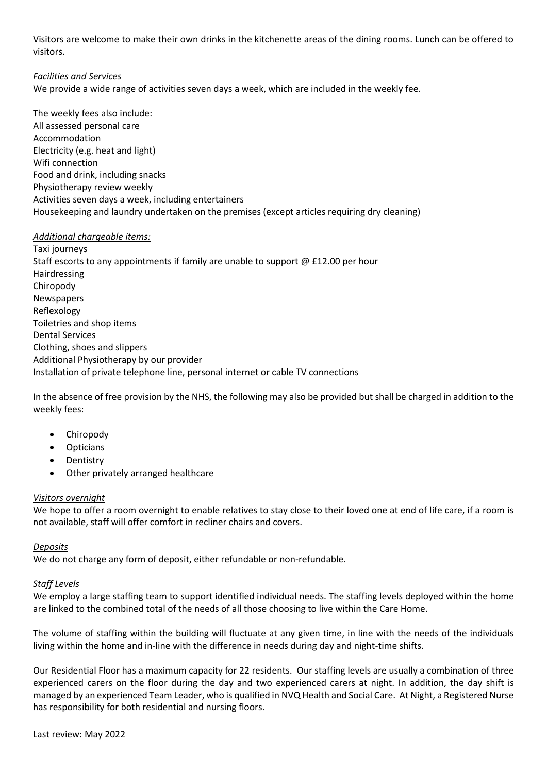Visitors are welcome to make their own drinks in the kitchenette areas of the dining rooms. Lunch can be offered to visitors.

## *Facilities and Services*

We provide a wide range of activities seven days a week, which are included in the weekly fee.

The weekly fees also include: All assessed personal care Accommodation Electricity (e.g. heat and light) Wifi connection Food and drink, including snacks Physiotherapy review weekly Activities seven days a week, including entertainers Housekeeping and laundry undertaken on the premises (except articles requiring dry cleaning)

## *Additional chargeable items:*

Taxi journeys Staff escorts to any appointments if family are unable to support @ £12.00 per hour Hairdressing Chiropody Newspapers Reflexology Toiletries and shop items Dental Services Clothing, shoes and slippers Additional Physiotherapy by our provider Installation of private telephone line, personal internet or cable TV connections

In the absence of free provision by the NHS, the following may also be provided but shall be charged in addition to the weekly fees:

- Chiropody
- Opticians
- Dentistry
- Other privately arranged healthcare

# *Visitors overnight*

We hope to offer a room overnight to enable relatives to stay close to their loved one at end of life care, if a room is not available, staff will offer comfort in recliner chairs and covers.

# *Deposits*

We do not charge any form of deposit, either refundable or non-refundable.

## *Staff Levels*

We employ a large staffing team to support identified individual needs. The staffing levels deployed within the home are linked to the combined total of the needs of all those choosing to live within the Care Home.

The volume of staffing within the building will fluctuate at any given time, in line with the needs of the individuals living within the home and in-line with the difference in needs during day and night-time shifts.

Our Residential Floor has a maximum capacity for 22 residents. Our staffing levels are usually a combination of three experienced carers on the floor during the day and two experienced carers at night. In addition, the day shift is managed by an experienced Team Leader, who is qualified in NVQ Health and Social Care. At Night, a Registered Nurse has responsibility for both residential and nursing floors.